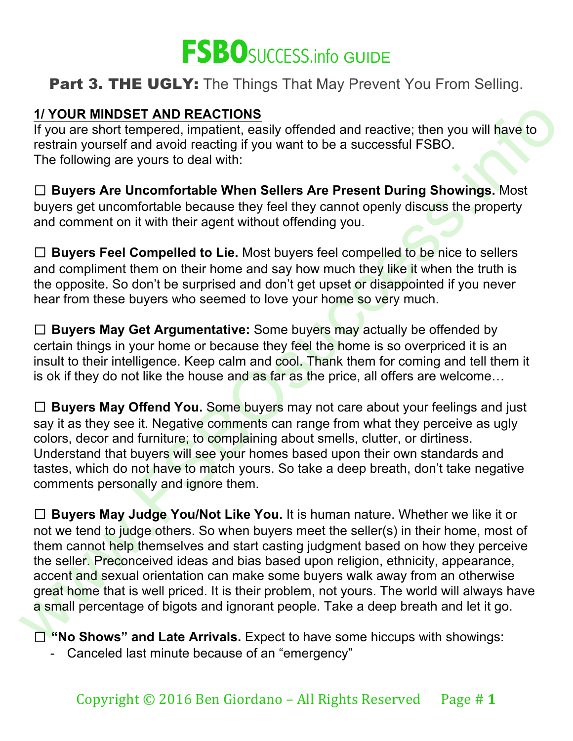

#### **1/ YOUR MINDSET AND REACTIONS**

If you are short tempered, impatient, easily offended and reactive; then you will have to restrain yourself and avoid reacting if you want to be a successful FSBO. The following are yours to deal with:

☐ **Buyers Are Uncomfortable When Sellers Are Present During Showings.** Most buyers get uncomfortable because they feel they cannot openly discuss the property and comment on it with their agent without offending you.

☐ **Buyers Feel Compelled to Lie.** Most buyers feel compelled to be nice to sellers and compliment them on their home and say how much they like it when the truth is the opposite. So don't be surprised and don't get upset or disappointed if you never hear from these buyers who seemed to love your home so very much.

☐ **Buyers May Get Argumentative:** Some buyers may actually be offended by certain things in your home or because they feel the home is so overpriced it is an insult to their intelligence. Keep calm and cool. Thank them for coming and tell them it is ok if they do not like the house and as far as the price, all offers are welcome...

□ **Buyers May Offend You.** Some buyers may not care about your feelings and just say it as they see it. Negative comments can range from what they perceive as ugly colors, decor and furniture; to complaining about smells, clutter, or dirtiness. Understand that buyers will see your homes based upon their own standards and tastes, which do not have to match yours. So take a deep breath, don't take negative comments personally and ignore them.

1/You are short temperation (and REGCTIONS<br>
If You are short tempered, impatient, easily offended and reactive; then you will have to<br>
restrain yourself and avoid reacting if you want to be a successful FSBO.<br>
The followi ☐ **Buyers May Judge You/Not Like You.** It is human nature. Whether we like it or not we tend to judge others. So when buyers meet the seller(s) in their home, most of them cannot help themselves and start casting judgment based on how they perceive the seller. Preconceived ideas and bias based upon religion, ethnicity, appearance, accent and sexual orientation can make some buyers walk away from an otherwise great home that is well priced. It is their problem, not yours. The world will always have a small percentage of bigots and ignorant people. Take a deep breath and let it go.

☐ **"No Shows" and Late Arrivals.** Expect to have some hiccups with showings:

- Canceled last minute because of an "emergency"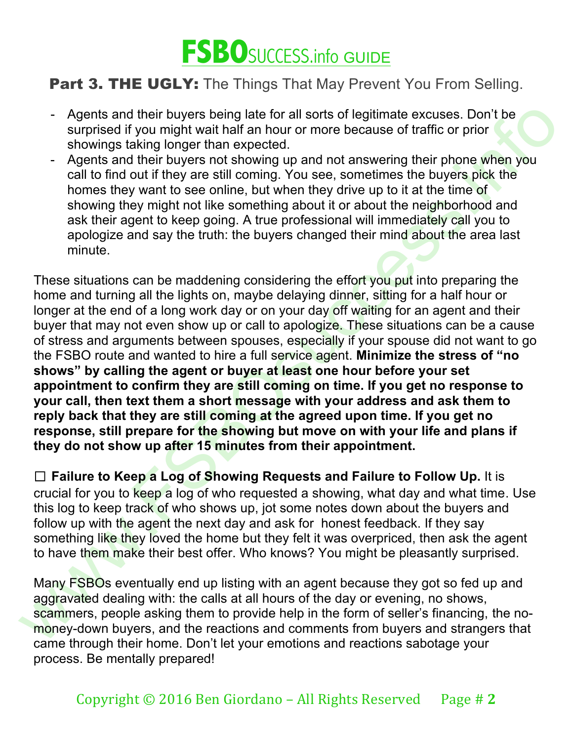

- Agents and their buyers being late for all sorts of legitimate excuses. Don't be surprised if you might wait half an hour or more because of traffic or prior showings taking longer than expected.
- Agents and their buyers not showing up and not answering their phone when you call to find out if they are still coming. You see, sometimes the buyers pick the homes they want to see online, but when they drive up to it at the time of showing they might not like something about it or about the neighborhood and ask their agent to keep going. A true professional will immediately call you to apologize and say the truth: the buyers changed their mind about the area last minute.

Agents and their buyers being late for all sonts of legitimate excuses. Don't be<br>surprised if you might walt half an hour or more because of traffic or prior<br>showings taking longer than expected.<br>
Agents and their buyers w These situations can be maddening considering the effort you put into preparing the home and turning all the lights on, maybe delaying dinner, sitting for a half hour or longer at the end of a long work day or on your day off waiting for an agent and their buyer that may not even show up or call to apologize. These situations can be a cause of stress and arguments between spouses, especially if your spouse did not want to go the FSBO route and wanted to hire a full service agent. **Minimize the stress of "no shows" by calling the agent or buyer at least one hour before your set appointment to confirm they are still coming on time. If you get no response to your call, then text them a short message with your address and ask them to reply back that they are still coming at the agreed upon time. If you get no response, still prepare for the showing but move on with your life and plans if they do not show up after 15 minutes from their appointment.**

☐ **Failure to Keep a Log of Showing Requests and Failure to Follow Up.** It is crucial for you to keep a log of who requested a showing, what day and what time. Use this log to keep track of who shows up, jot some notes down about the buyers and follow up with the agent the next day and ask for honest feedback. If they say something like they loved the home but they felt it was overpriced, then ask the agent to have them make their best offer. Who knows? You might be pleasantly surprised.

Many FSBOs eventually end up listing with an agent because they got so fed up and aggravated dealing with: the calls at all hours of the day or evening, no shows, scammers, people asking them to provide help in the form of seller's financing, the nomoney-down buyers, and the reactions and comments from buyers and strangers that came through their home. Don't let your emotions and reactions sabotage your process. Be mentally prepared!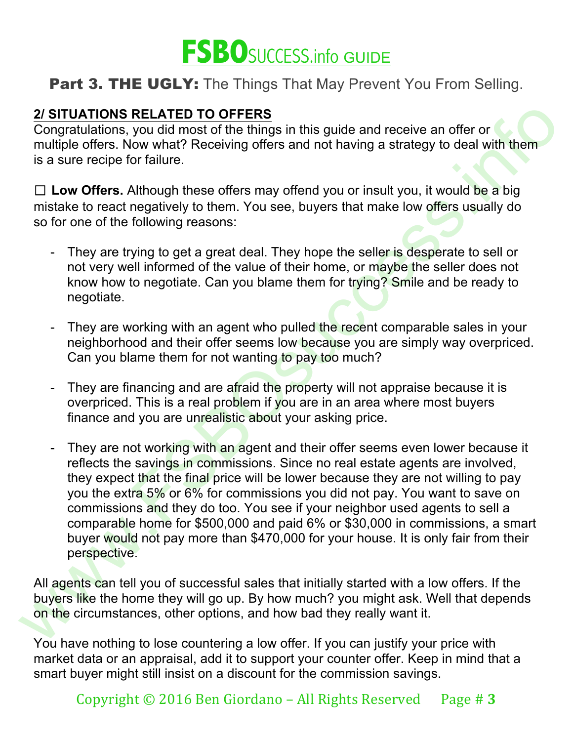

#### **2/ SITUATIONS RELATED TO OFFERS**

Congratulations, you did most of the things in this guide and receive an offer or multiple offers. Now what? Receiving offers and not having a strategy to deal with them is a sure recipe for failure.

□ Low Offers. Although these offers may offend you or insult you, it would be a big mistake to react negatively to them. You see, buyers that make low offers usually do so for one of the following reasons:

- They are trying to get a great deal. They hope the seller is desperate to sell or not very well informed of the value of their home, or maybe the seller does not know how to negotiate. Can you blame them for trying? Smile and be ready to negotiate.
- They are working with an agent who pulled the recent comparable sales in your neighborhood and their offer seems low because you are simply way overpriced. Can you blame them for not wanting to pay too much?
- They are financing and are afraid the property will not appraise because it is overpriced. This is a real problem if you are in an area where most buyers finance and you are unrealistic about your asking price.
- 2/ SITUATIONS RELATED TO OFFERS the thing guide and receive an offer or<br>
congratuations, you did most of the things in this guide and receive an offer or<br>
multiple offers. Now what? Receiving offers and not having a strat They are not working with an agent and their offer seems even lower because it reflects the savings in commissions. Since no real estate agents are involved, they expect that the final price will be lower because they are not willing to pay you the extra 5% or 6% for commissions you did not pay. You want to save on commissions and they do too. You see if your neighbor used agents to sell a comparable home for \$500,000 and paid 6% or \$30,000 in commissions, a smart buyer would not pay more than \$470,000 for your house. It is only fair from their perspective.

All agents can tell you of successful sales that initially started with a low offers. If the buyers like the home they will go up. By how much? you might ask. Well that depends on the circumstances, other options, and how bad they really want it.

You have nothing to lose countering a low offer. If you can justify your price with market data or an appraisal, add it to support your counter offer. Keep in mind that a smart buyer might still insist on a discount for the commission savings.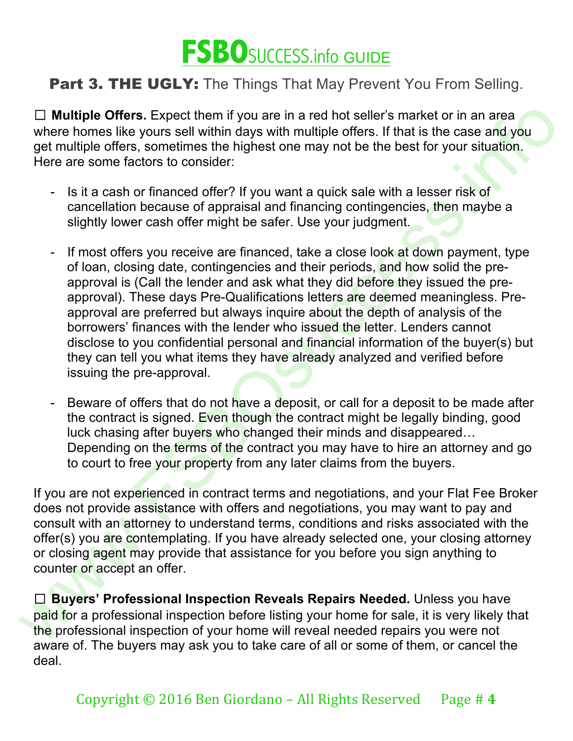

□ **Multiple Offers.** Expect them if you are in a red hot seller's market or in an area where homes like yours sell within days with multiple offers. If that is the case and you get multiple offers, sometimes the highest one may not be the best for your situation. Here are some factors to consider:

- Is it a cash or financed offer? If you want a quick sale with a lesser risk of cancellation because of appraisal and financing contingencies, then maybe a slightly lower cash offer might be safer. Use your judgment.
- $\square$  Multiple Offers. Expect them if you are in a red hot seller's market or in an reas<br>
were homes like yours sell within days with multiple offers, simplant<br>
get multiple offers, sometimes the highlest one may not be th - If most offers you receive are financed, take a close look at down payment, type of loan, closing date, contingencies and their periods, and how solid the preapproval is (Call the lender and ask what they did before they issued the preapproval). These days Pre-Qualifications letters are deemed meaningless. Preapproval are preferred but always inquire about the depth of analysis of the borrowers' finances with the lender who issued the letter. Lenders cannot disclose to you confidential personal and financial information of the buyer(s) but they can tell you what items they have already analyzed and verified before issuing the pre-approval.
	- Beware of offers that do not have a deposit, or call for a deposit to be made after the contract is signed. Even though the contract might be legally binding, good luck chasing after buyers who changed their minds and disappeared… Depending on the terms of the contract you may have to hire an attorney and go to court to free your property from any later claims from the buyers.

If you are not experienced in contract terms and negotiations, and your Flat Fee Broker does not provide assistance with offers and negotiations, you may want to pay and consult with an attorney to understand terms, conditions and risks associated with the offer(s) you are contemplating. If you have already selected one, your closing attorney or closing agent may provide that assistance for you before you sign anything to counter or accept an offer.

□ **Buyers' Professional Inspection Reveals Repairs Needed.** Unless you have paid for a professional inspection before listing your home for sale, it is very likely that the professional inspection of your home will reveal needed repairs you were not aware of. The buyers may ask you to take care of all or some of them, or cancel the deal.